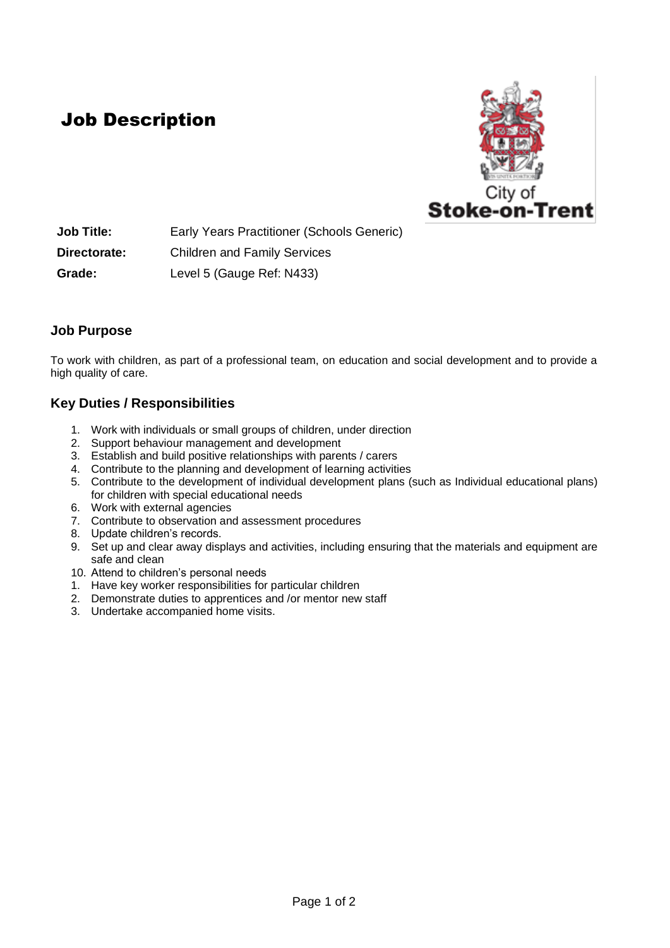## Job Description



**Job Title:** Early Years Practitioner (Schools Generic) **Directorate:** Children and Family Services **Grade:** Level 5 (Gauge Ref: N433)

### **Job Purpose**

To work with children, as part of a professional team, on education and social development and to provide a high quality of care.

### **Key Duties / Responsibilities**

- 1. Work with individuals or small groups of children, under direction
- 2. Support behaviour management and development
- 3. Establish and build positive relationships with parents / carers
- 4. Contribute to the planning and development of learning activities
- 5. Contribute to the development of individual development plans (such as Individual educational plans) for children with special educational needs
- 6. Work with external agencies
- 7. Contribute to observation and assessment procedures
- 8. Update children's records.
- 9. Set up and clear away displays and activities, including ensuring that the materials and equipment are safe and clean
- 10. Attend to children's personal needs
- 1. Have key worker responsibilities for particular children
- 2. Demonstrate duties to apprentices and /or mentor new staff
- 3. Undertake accompanied home visits.